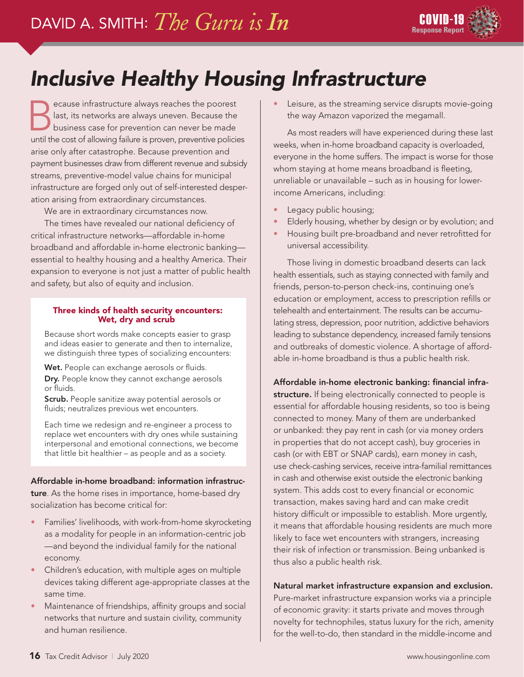

# *Inclusive Healthy Housing Infrastructure*

Because infrastructure always reaches the poorest<br>ast, its networks are always uneven. Because the<br>business case for prevention can never be made last, its networks are always uneven. Because the business case for prevention can never be made until the cost of allowing failure is proven, preventive policies arise only after catastrophe. Because prevention and payment businesses draw from different revenue and subsidy streams, preventive-model value chains for municipal infrastructure are forged only out of self-interested desperation arising from extraordinary circumstances.

We are in extraordinary circumstances now.

The times have revealed our national deficiency of critical infrastructure networks—affordable in-home broadband and affordable in-home electronic banking essential to healthy housing and a healthy America. Their expansion to everyone is not just a matter of public health and safety, but also of equity and inclusion.

#### Three kinds of health security encounters: Wet, dry and scrub

Because short words make concepts easier to grasp and ideas easier to generate and then to internalize, we distinguish three types of socializing encounters:

Wet. People can exchange aerosols or fluids.

Dry. People know they cannot exchange aerosols or fluids.

Scrub. People sanitize away potential aerosols or fluids; neutralizes previous wet encounters.

Each time we redesign and re-engineer a process to replace wet encounters with dry ones while sustaining interpersonal and emotional connections, we become that little bit healthier – as people and as a society.

### Affordable in-home broadband: information infrastruc-

ture. As the home rises in importance, home-based dry socialization has become critical for:

- Families' livelihoods, with work-from-home skyrocketing as a modality for people in an information-centric job —and beyond the individual family for the national economy.
- Children's education, with multiple ages on multiple devices taking different age-appropriate classes at the same time.
- Maintenance of friendships, affinity groups and social networks that nurture and sustain civility, community and human resilience.

Leisure, as the streaming service disrupts movie-going the way Amazon vaporized the megamall.

As most readers will have experienced during these last weeks, when in-home broadband capacity is overloaded, everyone in the home suffers. The impact is worse for those whom staying at home means broadband is fleeting, unreliable or unavailable – such as in housing for lowerincome Americans, including:

- Legacy public housing;
- Elderly housing, whether by design or by evolution; and
- Housing built pre-broadband and never retrofitted for universal accessibility.

Those living in domestic broadband deserts can lack health essentials, such as staying connected with family and friends, person-to-person check-ins, continuing one's education or employment, access to prescription refills or telehealth and entertainment. The results can be accumulating stress, depression, poor nutrition, addictive behaviors leading to substance dependency, increased family tensions and outbreaks of domestic violence. A shortage of affordable in-home broadband is thus a public health risk.

### Affordable in-home electronic banking: financial infra-

structure. If being electronically connected to people is essential for affordable housing residents, so too is being connected to money. Many of them are underbanked or unbanked: they pay rent in cash (or via money orders in properties that do not accept cash), buy groceries in cash (or with EBT or SNAP cards), earn money in cash, use check-cashing services, receive intra-familial remittances in cash and otherwise exist outside the electronic banking system. This adds cost to every financial or economic transaction, makes saving hard and can make credit history difficult or impossible to establish. More urgently, it means that affordable housing residents are much more likely to face wet encounters with strangers, increasing their risk of infection or transmission. Being unbanked is thus also a public health risk.

## Natural market infrastructure expansion and exclusion.

Pure-market infrastructure expansion works via a principle of economic gravity: it starts private and moves through novelty for technophiles, status luxury for the rich, amenity for the well-to-do, then standard in the middle-income and